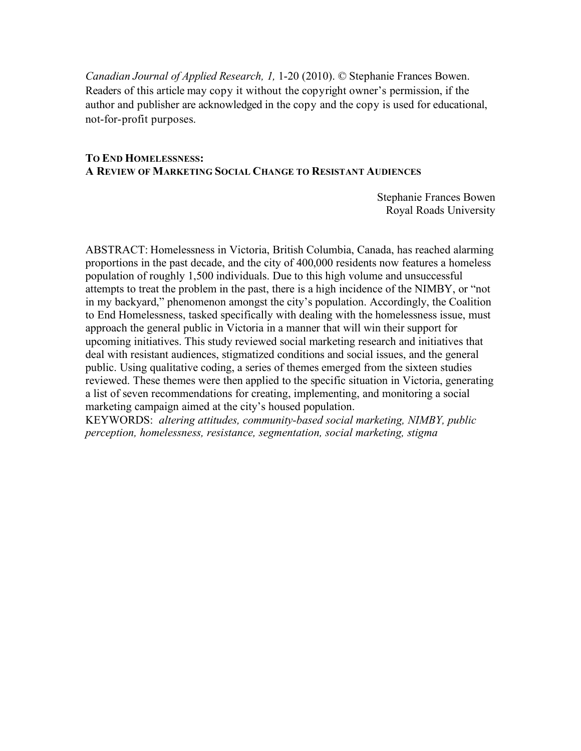*Canadian Journal of Applied Research, 1,* 1-20 (2010). © Stephanie Frances Bowen. Readers of this article may copy it without the copyright owner's permission, if the author and publisher are acknowledged in the copy and the copy is used for educational, not-for-profit purposes.

## **TO END HOMELESSNESS: A REVIEW OF MARKETING SOCIAL CHANGE TO RESISTANT AUDIENCES**

Stephanie Frances Bowen Royal Roads University

ABSTRACT: Homelessness in Victoria, British Columbia, Canada, has reached alarming proportions in the past decade, and the city of 400,000 residents now features a homeless population of roughly 1,500 individuals. Due to this high volume and unsuccessful attempts to treat the problem in the past, there is a high incidence of the NIMBY, or "not in my backyard," phenomenon amongst the city's population. Accordingly, the Coalition to End Homelessness, tasked specifically with dealing with the homelessness issue, must approach the general public in Victoria in a manner that will win their support for upcoming initiatives. This study reviewed social marketing research and initiatives that deal with resistant audiences, stigmatized conditions and social issues, and the general public. Using qualitative coding, a series of themes emerged from the sixteen studies reviewed. These themes were then applied to the specific situation in Victoria, generating a list of seven recommendations for creating, implementing, and monitoring a social marketing campaign aimed at the city's housed population.

KEYWORDS: *altering attitudes, community-based social marketing, NIMBY, public perception, homelessness, resistance, segmentation, social marketing, stigma*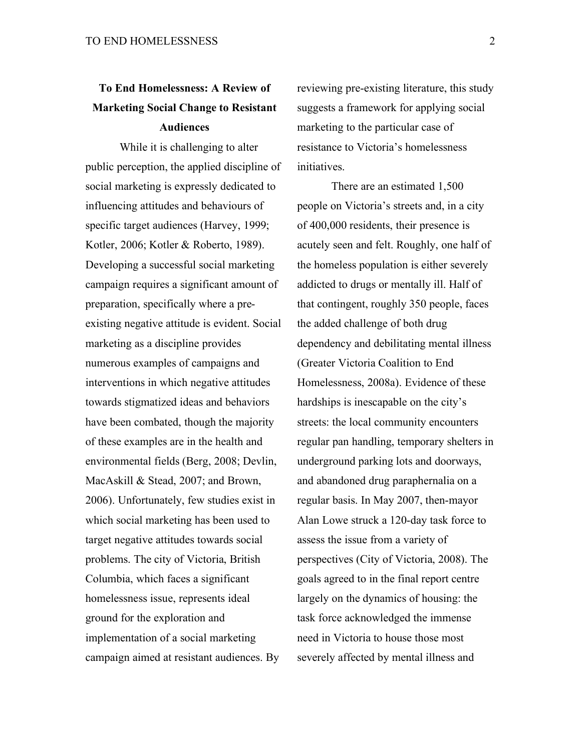# **To End Homelessness: A Review of Marketing Social Change to Resistant Audiences**

While it is challenging to alter public perception, the applied discipline of social marketing is expressly dedicated to influencing attitudes and behaviours of specific target audiences (Harvey, 1999; Kotler, 2006; Kotler & Roberto, 1989). Developing a successful social marketing campaign requires a significant amount of preparation, specifically where a preexisting negative attitude is evident. Social marketing as a discipline provides numerous examples of campaigns and interventions in which negative attitudes towards stigmatized ideas and behaviors have been combated, though the majority of these examples are in the health and environmental fields (Berg, 2008; Devlin, MacAskill & Stead, 2007; and Brown, 2006). Unfortunately, few studies exist in which social marketing has been used to target negative attitudes towards social problems. The city of Victoria, British Columbia, which faces a significant homelessness issue, represents ideal ground for the exploration and implementation of a social marketing campaign aimed at resistant audiences. By

reviewing pre-existing literature, this study suggests a framework for applying social marketing to the particular case of resistance to Victoria's homelessness initiatives.

There are an estimated 1,500 people on Victoria's streets and, in a city of 400,000 residents, their presence is acutely seen and felt. Roughly, one half of the homeless population is either severely addicted to drugs or mentally ill. Half of that contingent, roughly 350 people, faces the added challenge of both drug dependency and debilitating mental illness (Greater Victoria Coalition to End Homelessness, 2008a). Evidence of these hardships is inescapable on the city's streets: the local community encounters regular pan handling, temporary shelters in underground parking lots and doorways, and abandoned drug paraphernalia on a regular basis. In May 2007, then-mayor Alan Lowe struck a 120-day task force to assess the issue from a variety of perspectives (City of Victoria, 2008). The goals agreed to in the final report centre largely on the dynamics of housing: the task force acknowledged the immense need in Victoria to house those most severely affected by mental illness and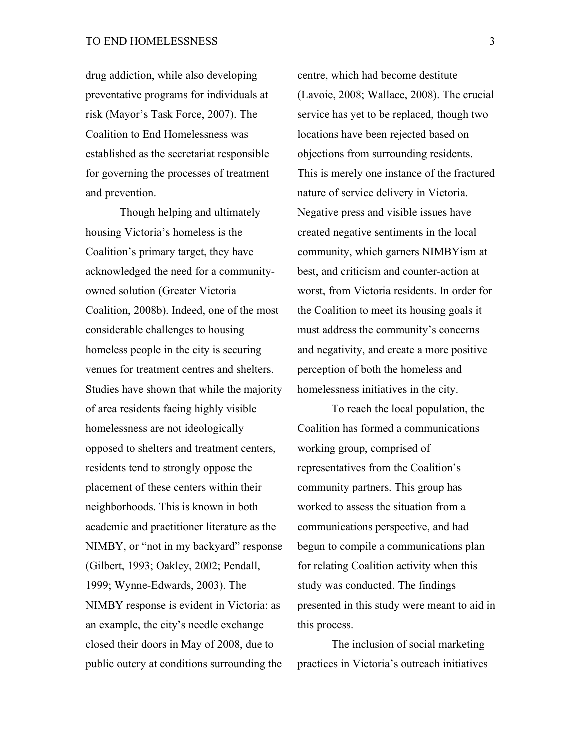drug addiction, while also developing preventative programs for individuals at risk (Mayor's Task Force, 2007). The Coalition to End Homelessness was established as the secretariat responsible for governing the processes of treatment and prevention.

Though helping and ultimately housing Victoria's homeless is the Coalition's primary target, they have acknowledged the need for a communityowned solution (Greater Victoria Coalition, 2008b). Indeed, one of the most considerable challenges to housing homeless people in the city is securing venues for treatment centres and shelters. Studies have shown that while the majority of area residents facing highly visible homelessness are not ideologically opposed to shelters and treatment centers, residents tend to strongly oppose the placement of these centers within their neighborhoods. This is known in both academic and practitioner literature as the NIMBY, or "not in my backyard" response (Gilbert, 1993; Oakley, 2002; Pendall, 1999; Wynne-Edwards, 2003). The NIMBY response is evident in Victoria: as an example, the city's needle exchange closed their doors in May of 2008, due to public outcry at conditions surrounding the

centre, which had become destitute (Lavoie, 2008; Wallace, 2008). The crucial service has yet to be replaced, though two locations have been rejected based on objections from surrounding residents. This is merely one instance of the fractured nature of service delivery in Victoria. Negative press and visible issues have created negative sentiments in the local community, which garners NIMBYism at best, and criticism and counter-action at worst, from Victoria residents. In order for the Coalition to meet its housing goals it must address the community's concerns and negativity, and create a more positive perception of both the homeless and homelessness initiatives in the city.

To reach the local population, the Coalition has formed a communications working group, comprised of representatives from the Coalition's community partners. This group has worked to assess the situation from a communications perspective, and had begun to compile a communications plan for relating Coalition activity when this study was conducted. The findings presented in this study were meant to aid in this process.

The inclusion of social marketing practices in Victoria's outreach initiatives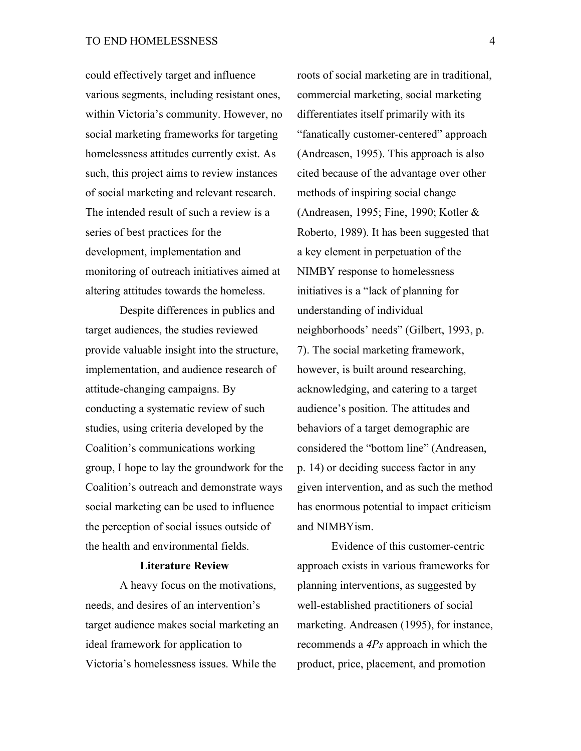could effectively target and influence various segments, including resistant ones, within Victoria's community. However, no social marketing frameworks for targeting homelessness attitudes currently exist. As such, this project aims to review instances of social marketing and relevant research. The intended result of such a review is a series of best practices for the development, implementation and monitoring of outreach initiatives aimed at altering attitudes towards the homeless.

Despite differences in publics and target audiences, the studies reviewed provide valuable insight into the structure, implementation, and audience research of attitude-changing campaigns. By conducting a systematic review of such studies, using criteria developed by the Coalition's communications working group, I hope to lay the groundwork for the Coalition's outreach and demonstrate ways social marketing can be used to influence the perception of social issues outside of the health and environmental fields.

## **Literature Review**

A heavy focus on the motivations, needs, and desires of an intervention's target audience makes social marketing an ideal framework for application to Victoria's homelessness issues. While the

roots of social marketing are in traditional, commercial marketing, social marketing differentiates itself primarily with its "fanatically customer-centered" approach (Andreasen, 1995). This approach is also cited because of the advantage over other methods of inspiring social change (Andreasen, 1995; Fine, 1990; Kotler & Roberto, 1989). It has been suggested that a key element in perpetuation of the NIMBY response to homelessness initiatives is a "lack of planning for understanding of individual neighborhoods' needs" (Gilbert, 1993, p. 7). The social marketing framework, however, is built around researching, acknowledging, and catering to a target audience's position. The attitudes and behaviors of a target demographic are considered the "bottom line" (Andreasen, p. 14) or deciding success factor in any given intervention, and as such the method has enormous potential to impact criticism and NIMBYism.

Evidence of this customer-centric approach exists in various frameworks for planning interventions, as suggested by well-established practitioners of social marketing. Andreasen (1995), for instance, recommends a *4Ps* approach in which the product, price, placement, and promotion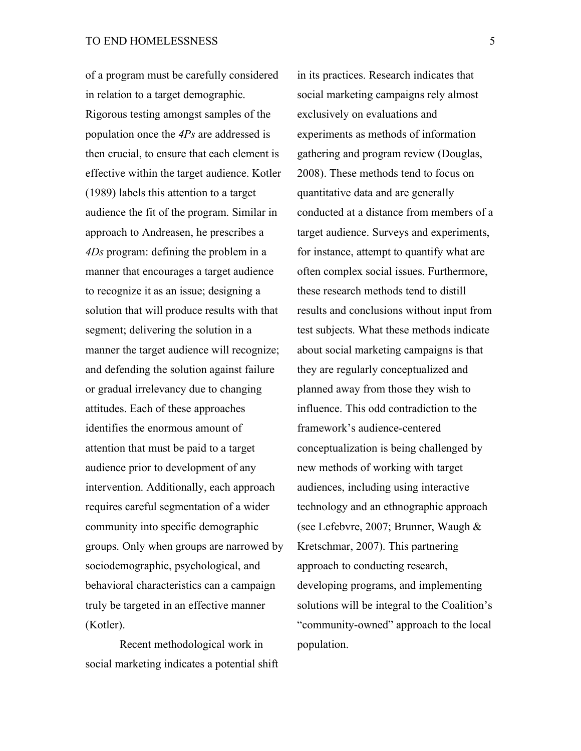of a program must be carefully considered in relation to a target demographic. Rigorous testing amongst samples of the population once the *4Ps* are addressed is then crucial, to ensure that each element is effective within the target audience. Kotler (1989) labels this attention to a target audience the fit of the program. Similar in approach to Andreasen, he prescribes a *4Ds* program: defining the problem in a manner that encourages a target audience to recognize it as an issue; designing a solution that will produce results with that segment; delivering the solution in a manner the target audience will recognize; and defending the solution against failure or gradual irrelevancy due to changing attitudes. Each of these approaches identifies the enormous amount of attention that must be paid to a target audience prior to development of any intervention. Additionally, each approach requires careful segmentation of a wider community into specific demographic groups. Only when groups are narrowed by sociodemographic, psychological, and behavioral characteristics can a campaign truly be targeted in an effective manner (Kotler).

Recent methodological work in social marketing indicates a potential shift

in its practices. Research indicates that social marketing campaigns rely almost exclusively on evaluations and experiments as methods of information gathering and program review (Douglas, 2008). These methods tend to focus on quantitative data and are generally conducted at a distance from members of a target audience. Surveys and experiments, for instance, attempt to quantify what are often complex social issues. Furthermore, these research methods tend to distill results and conclusions without input from test subjects. What these methods indicate about social marketing campaigns is that they are regularly conceptualized and planned away from those they wish to influence. This odd contradiction to the framework's audience-centered conceptualization is being challenged by new methods of working with target audiences, including using interactive technology and an ethnographic approach (see Lefebvre, 2007; Brunner, Waugh & Kretschmar, 2007). This partnering approach to conducting research, developing programs, and implementing solutions will be integral to the Coalition's "community-owned" approach to the local population.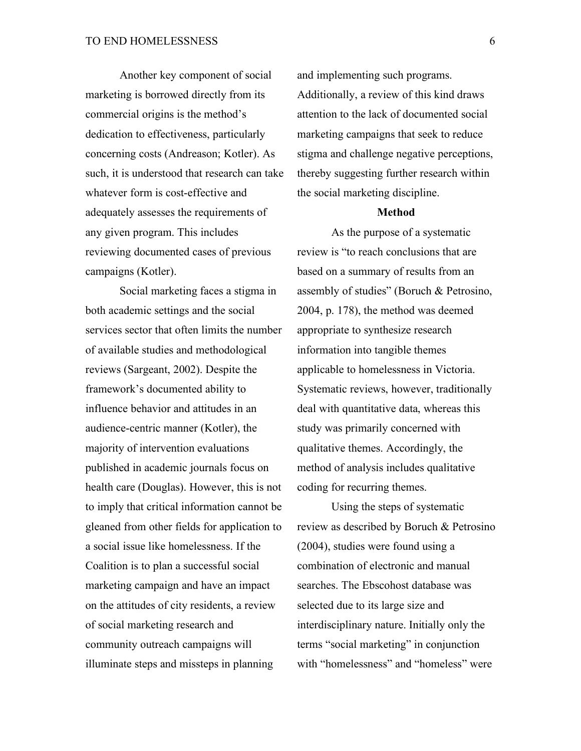Another key component of social marketing is borrowed directly from its commercial origins is the method's dedication to effectiveness, particularly concerning costs (Andreason; Kotler). As such, it is understood that research can take whatever form is cost-effective and adequately assesses the requirements of any given program. This includes reviewing documented cases of previous campaigns (Kotler).

Social marketing faces a stigma in both academic settings and the social services sector that often limits the number of available studies and methodological reviews (Sargeant, 2002). Despite the framework's documented ability to influence behavior and attitudes in an audience-centric manner (Kotler), the majority of intervention evaluations published in academic journals focus on health care (Douglas). However, this is not to imply that critical information cannot be gleaned from other fields for application to a social issue like homelessness. If the Coalition is to plan a successful social marketing campaign and have an impact on the attitudes of city residents, a review of social marketing research and community outreach campaigns will illuminate steps and missteps in planning

and implementing such programs. Additionally, a review of this kind draws attention to the lack of documented social marketing campaigns that seek to reduce stigma and challenge negative perceptions, thereby suggesting further research within the social marketing discipline.

#### **Method**

As the purpose of a systematic review is "to reach conclusions that are based on a summary of results from an assembly of studies" (Boruch & Petrosino, 2004, p. 178), the method was deemed appropriate to synthesize research information into tangible themes applicable to homelessness in Victoria. Systematic reviews, however, traditionally deal with quantitative data, whereas this study was primarily concerned with qualitative themes. Accordingly, the method of analysis includes qualitative coding for recurring themes.

Using the steps of systematic review as described by Boruch & Petrosino (2004), studies were found using a combination of electronic and manual searches. The Ebscohost database was selected due to its large size and interdisciplinary nature. Initially only the terms "social marketing" in conjunction with "homelessness" and "homeless" were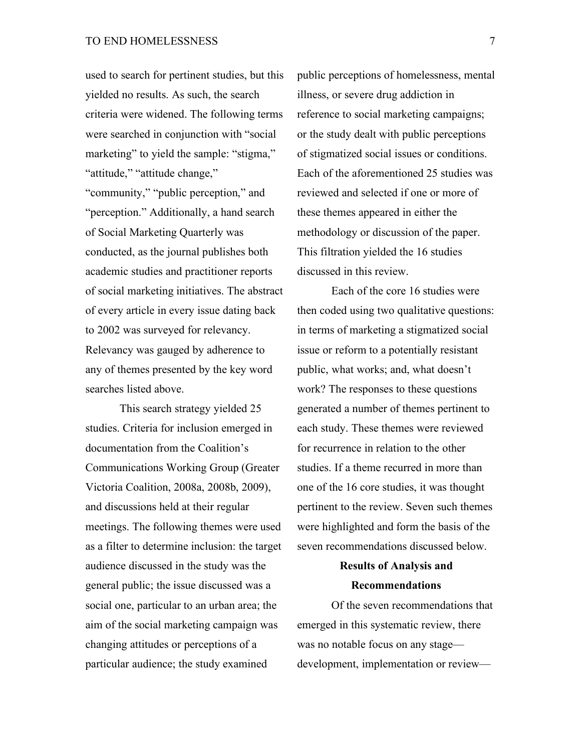used to search for pertinent studies, but this yielded no results. As such, the search criteria were widened. The following terms were searched in conjunction with "social marketing" to yield the sample: "stigma," "attitude," "attitude change,"

"community," "public perception," and "perception." Additionally, a hand search of Social Marketing Quarterly was conducted, as the journal publishes both academic studies and practitioner reports of social marketing initiatives. The abstract of every article in every issue dating back to 2002 was surveyed for relevancy. Relevancy was gauged by adherence to any of themes presented by the key word searches listed above.

This search strategy yielded 25 studies. Criteria for inclusion emerged in documentation from the Coalition's Communications Working Group (Greater Victoria Coalition, 2008a, 2008b, 2009), and discussions held at their regular meetings. The following themes were used as a filter to determine inclusion: the target audience discussed in the study was the general public; the issue discussed was a social one, particular to an urban area; the aim of the social marketing campaign was changing attitudes or perceptions of a particular audience; the study examined

public perceptions of homelessness, mental illness, or severe drug addiction in reference to social marketing campaigns; or the study dealt with public perceptions of stigmatized social issues or conditions. Each of the aforementioned 25 studies was reviewed and selected if one or more of these themes appeared in either the methodology or discussion of the paper. This filtration yielded the 16 studies discussed in this review.

Each of the core 16 studies were then coded using two qualitative questions: in terms of marketing a stigmatized social issue or reform to a potentially resistant public, what works; and, what doesn't work? The responses to these questions generated a number of themes pertinent to each study. These themes were reviewed for recurrence in relation to the other studies. If a theme recurred in more than one of the 16 core studies, it was thought pertinent to the review. Seven such themes were highlighted and form the basis of the seven recommendations discussed below.

# **Results of Analysis and Recommendations**

Of the seven recommendations that emerged in this systematic review, there was no notable focus on any stage development, implementation or review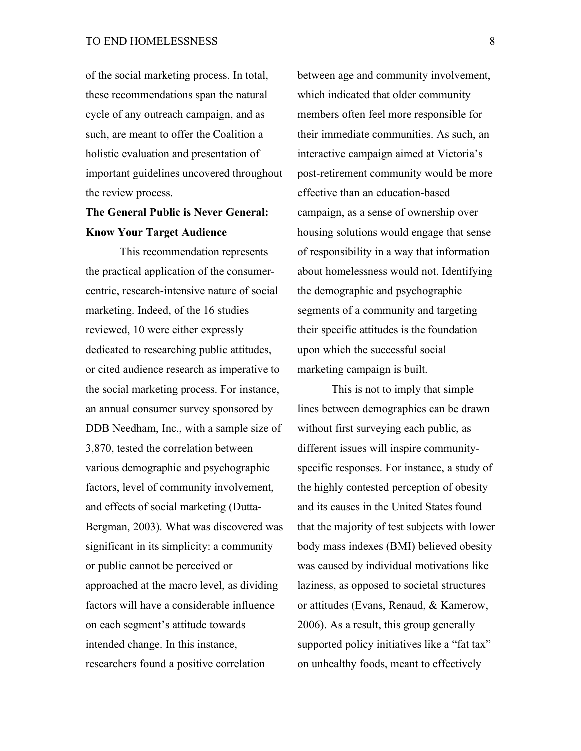of the social marketing process. In total, these recommendations span the natural cycle of any outreach campaign, and as such, are meant to offer the Coalition a holistic evaluation and presentation of important guidelines uncovered throughout the review process.

# **The General Public is Never General: Know Your Target Audience**

This recommendation represents the practical application of the consumercentric, research-intensive nature of social marketing. Indeed, of the 16 studies reviewed, 10 were either expressly dedicated to researching public attitudes, or cited audience research as imperative to the social marketing process. For instance, an annual consumer survey sponsored by DDB Needham, Inc., with a sample size of 3,870, tested the correlation between various demographic and psychographic factors, level of community involvement, and effects of social marketing (Dutta-Bergman, 2003). What was discovered was significant in its simplicity: a community or public cannot be perceived or approached at the macro level, as dividing factors will have a considerable influence on each segment's attitude towards intended change. In this instance, researchers found a positive correlation

between age and community involvement, which indicated that older community members often feel more responsible for their immediate communities. As such, an interactive campaign aimed at Victoria's post-retirement community would be more effective than an education-based campaign, as a sense of ownership over housing solutions would engage that sense of responsibility in a way that information about homelessness would not. Identifying the demographic and psychographic segments of a community and targeting their specific attitudes is the foundation upon which the successful social marketing campaign is built.

This is not to imply that simple lines between demographics can be drawn without first surveying each public, as different issues will inspire communityspecific responses. For instance, a study of the highly contested perception of obesity and its causes in the United States found that the majority of test subjects with lower body mass indexes (BMI) believed obesity was caused by individual motivations like laziness, as opposed to societal structures or attitudes (Evans, Renaud, & Kamerow, 2006). As a result, this group generally supported policy initiatives like a "fat tax" on unhealthy foods, meant to effectively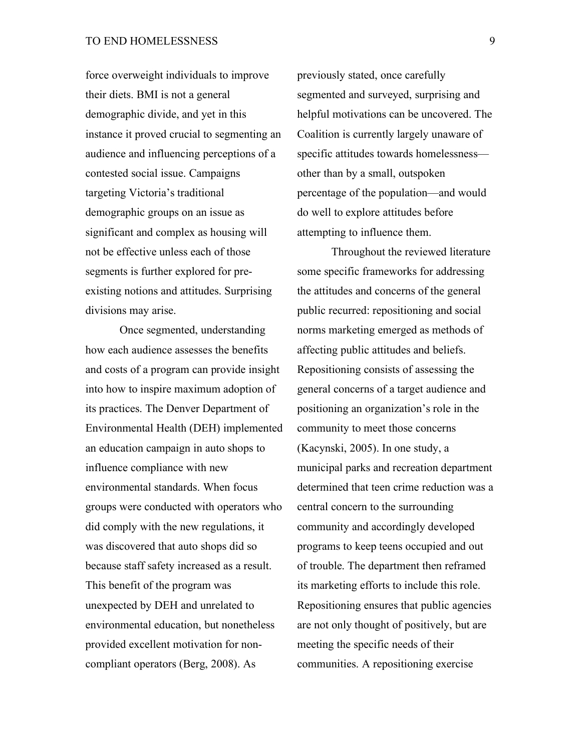force overweight individuals to improve their diets. BMI is not a general demographic divide, and yet in this instance it proved crucial to segmenting an audience and influencing perceptions of a contested social issue. Campaigns targeting Victoria's traditional demographic groups on an issue as significant and complex as housing will not be effective unless each of those segments is further explored for preexisting notions and attitudes. Surprising divisions may arise.

Once segmented, understanding how each audience assesses the benefits and costs of a program can provide insight into how to inspire maximum adoption of its practices. The Denver Department of Environmental Health (DEH) implemented an education campaign in auto shops to influence compliance with new environmental standards. When focus groups were conducted with operators who did comply with the new regulations, it was discovered that auto shops did so because staff safety increased as a result. This benefit of the program was unexpected by DEH and unrelated to environmental education, but nonetheless provided excellent motivation for noncompliant operators (Berg, 2008). As

previously stated, once carefully segmented and surveyed, surprising and helpful motivations can be uncovered. The Coalition is currently largely unaware of specific attitudes towards homelessness other than by a small, outspoken percentage of the population—and would do well to explore attitudes before attempting to influence them.

Throughout the reviewed literature some specific frameworks for addressing the attitudes and concerns of the general public recurred: repositioning and social norms marketing emerged as methods of affecting public attitudes and beliefs. Repositioning consists of assessing the general concerns of a target audience and positioning an organization's role in the community to meet those concerns (Kacynski, 2005). In one study, a municipal parks and recreation department determined that teen crime reduction was a central concern to the surrounding community and accordingly developed programs to keep teens occupied and out of trouble. The department then reframed its marketing efforts to include this role. Repositioning ensures that public agencies are not only thought of positively, but are meeting the specific needs of their communities. A repositioning exercise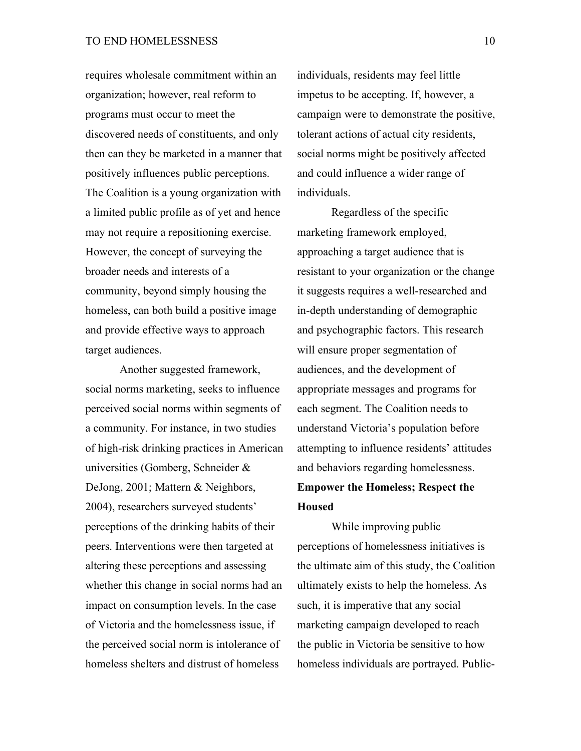requires wholesale commitment within an organization; however, real reform to programs must occur to meet the discovered needs of constituents, and only then can they be marketed in a manner that positively influences public perceptions. The Coalition is a young organization with a limited public profile as of yet and hence may not require a repositioning exercise. However, the concept of surveying the broader needs and interests of a community, beyond simply housing the homeless, can both build a positive image and provide effective ways to approach target audiences.

Another suggested framework, social norms marketing, seeks to influence perceived social norms within segments of a community. For instance, in two studies of high-risk drinking practices in American universities (Gomberg, Schneider & DeJong, 2001; Mattern & Neighbors, 2004), researchers surveyed students' perceptions of the drinking habits of their peers. Interventions were then targeted at altering these perceptions and assessing whether this change in social norms had an impact on consumption levels. In the case of Victoria and the homelessness issue, if the perceived social norm is intolerance of homeless shelters and distrust of homeless

individuals, residents may feel little impetus to be accepting. If, however, a campaign were to demonstrate the positive, tolerant actions of actual city residents, social norms might be positively affected and could influence a wider range of individuals.

Regardless of the specific marketing framework employed, approaching a target audience that is resistant to your organization or the change it suggests requires a well-researched and in-depth understanding of demographic and psychographic factors. This research will ensure proper segmentation of audiences, and the development of appropriate messages and programs for each segment. The Coalition needs to understand Victoria's population before attempting to influence residents' attitudes and behaviors regarding homelessness. **Empower the Homeless; Respect the Housed**

While improving public perceptions of homelessness initiatives is the ultimate aim of this study, the Coalition ultimately exists to help the homeless. As such, it is imperative that any social marketing campaign developed to reach the public in Victoria be sensitive to how homeless individuals are portrayed. Public-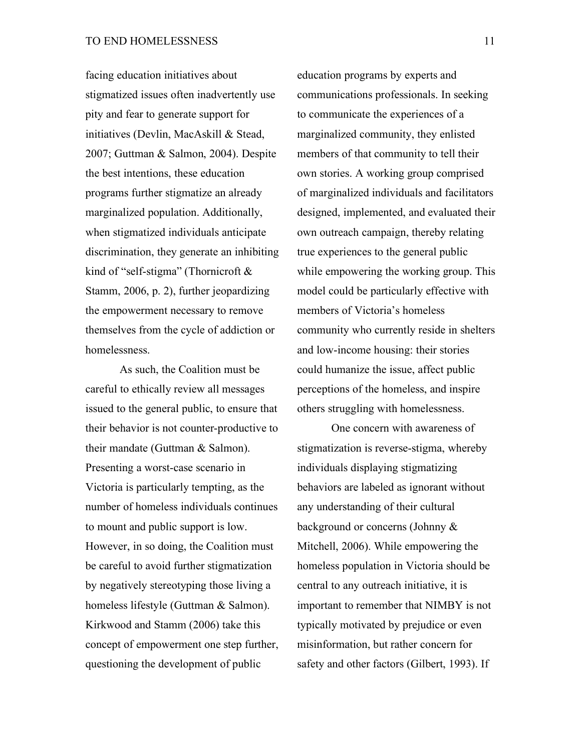facing education initiatives about stigmatized issues often inadvertently use pity and fear to generate support for initiatives (Devlin, MacAskill & Stead, 2007; Guttman & Salmon, 2004). Despite the best intentions, these education programs further stigmatize an already marginalized population. Additionally, when stigmatized individuals anticipate discrimination, they generate an inhibiting kind of "self-stigma" (Thornicroft & Stamm, 2006, p. 2), further jeopardizing the empowerment necessary to remove themselves from the cycle of addiction or homelessness.

As such, the Coalition must be careful to ethically review all messages issued to the general public, to ensure that their behavior is not counter-productive to their mandate (Guttman & Salmon). Presenting a worst-case scenario in Victoria is particularly tempting, as the number of homeless individuals continues to mount and public support is low. However, in so doing, the Coalition must be careful to avoid further stigmatization by negatively stereotyping those living a homeless lifestyle (Guttman & Salmon). Kirkwood and Stamm (2006) take this concept of empowerment one step further, questioning the development of public

education programs by experts and communications professionals. In seeking to communicate the experiences of a marginalized community, they enlisted members of that community to tell their own stories. A working group comprised of marginalized individuals and facilitators designed, implemented, and evaluated their own outreach campaign, thereby relating true experiences to the general public while empowering the working group. This model could be particularly effective with members of Victoria's homeless community who currently reside in shelters and low-income housing: their stories could humanize the issue, affect public perceptions of the homeless, and inspire others struggling with homelessness.

One concern with awareness of stigmatization is reverse-stigma, whereby individuals displaying stigmatizing behaviors are labeled as ignorant without any understanding of their cultural background or concerns (Johnny & Mitchell, 2006). While empowering the homeless population in Victoria should be central to any outreach initiative, it is important to remember that NIMBY is not typically motivated by prejudice or even misinformation, but rather concern for safety and other factors (Gilbert, 1993). If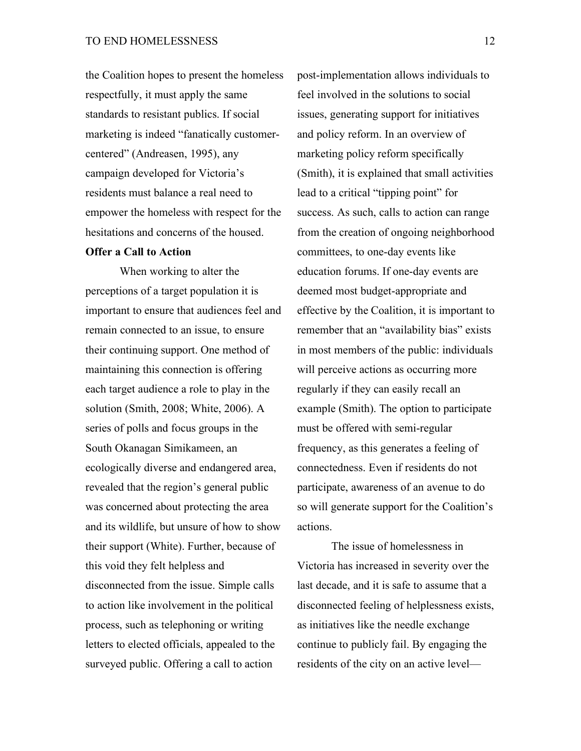the Coalition hopes to present the homeless respectfully, it must apply the same standards to resistant publics. If social marketing is indeed "fanatically customercentered" (Andreasen, 1995), any campaign developed for Victoria's residents must balance a real need to empower the homeless with respect for the hesitations and concerns of the housed.

# **Offer a Call to Action**

When working to alter the perceptions of a target population it is important to ensure that audiences feel and remain connected to an issue, to ensure their continuing support. One method of maintaining this connection is offering each target audience a role to play in the solution (Smith, 2008; White, 2006). A series of polls and focus groups in the South Okanagan Simikameen, an ecologically diverse and endangered area, revealed that the region's general public was concerned about protecting the area and its wildlife, but unsure of how to show their support (White). Further, because of this void they felt helpless and disconnected from the issue. Simple calls to action like involvement in the political process, such as telephoning or writing letters to elected officials, appealed to the surveyed public. Offering a call to action

post-implementation allows individuals to feel involved in the solutions to social issues, generating support for initiatives and policy reform. In an overview of marketing policy reform specifically (Smith), it is explained that small activities lead to a critical "tipping point" for success. As such, calls to action can range from the creation of ongoing neighborhood committees, to one-day events like education forums. If one-day events are deemed most budget-appropriate and effective by the Coalition, it is important to remember that an "availability bias" exists in most members of the public: individuals will perceive actions as occurring more regularly if they can easily recall an example (Smith). The option to participate must be offered with semi-regular frequency, as this generates a feeling of connectedness. Even if residents do not participate, awareness of an avenue to do so will generate support for the Coalition's actions.

The issue of homelessness in Victoria has increased in severity over the last decade, and it is safe to assume that a disconnected feeling of helplessness exists, as initiatives like the needle exchange continue to publicly fail. By engaging the residents of the city on an active level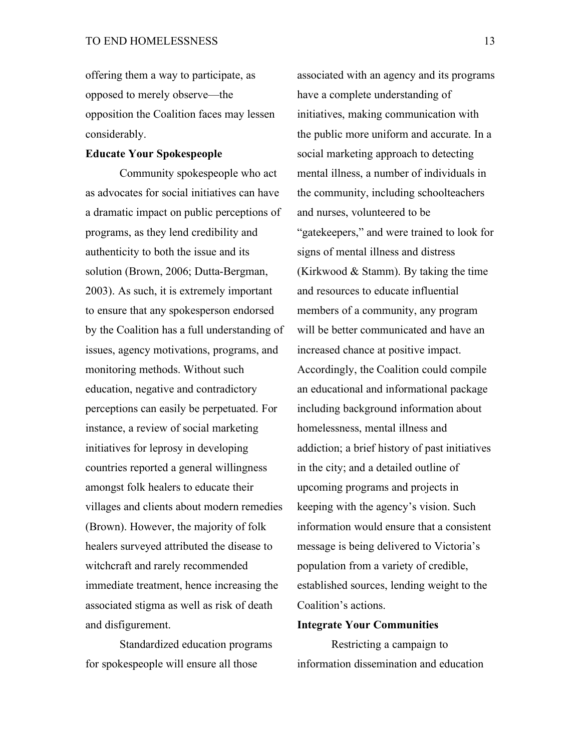offering them a way to participate, as opposed to merely observe—the opposition the Coalition faces may lessen considerably.

### **Educate Your Spokespeople**

Community spokespeople who act as advocates for social initiatives can have a dramatic impact on public perceptions of programs, as they lend credibility and authenticity to both the issue and its solution (Brown, 2006; Dutta-Bergman, 2003). As such, it is extremely important to ensure that any spokesperson endorsed by the Coalition has a full understanding of issues, agency motivations, programs, and monitoring methods. Without such education, negative and contradictory perceptions can easily be perpetuated. For instance, a review of social marketing initiatives for leprosy in developing countries reported a general willingness amongst folk healers to educate their villages and clients about modern remedies (Brown). However, the majority of folk healers surveyed attributed the disease to witchcraft and rarely recommended immediate treatment, hence increasing the associated stigma as well as risk of death and disfigurement.

Standardized education programs for spokespeople will ensure all those

associated with an agency and its programs have a complete understanding of initiatives, making communication with the public more uniform and accurate. In a social marketing approach to detecting mental illness, a number of individuals in the community, including schoolteachers and nurses, volunteered to be "gatekeepers," and were trained to look for signs of mental illness and distress (Kirkwood & Stamm). By taking the time and resources to educate influential members of a community, any program will be better communicated and have an increased chance at positive impact. Accordingly, the Coalition could compile an educational and informational package including background information about homelessness, mental illness and addiction; a brief history of past initiatives in the city; and a detailed outline of upcoming programs and projects in keeping with the agency's vision. Such information would ensure that a consistent message is being delivered to Victoria's population from a variety of credible, established sources, lending weight to the Coalition's actions.

#### **Integrate Your Communities**

Restricting a campaign to information dissemination and education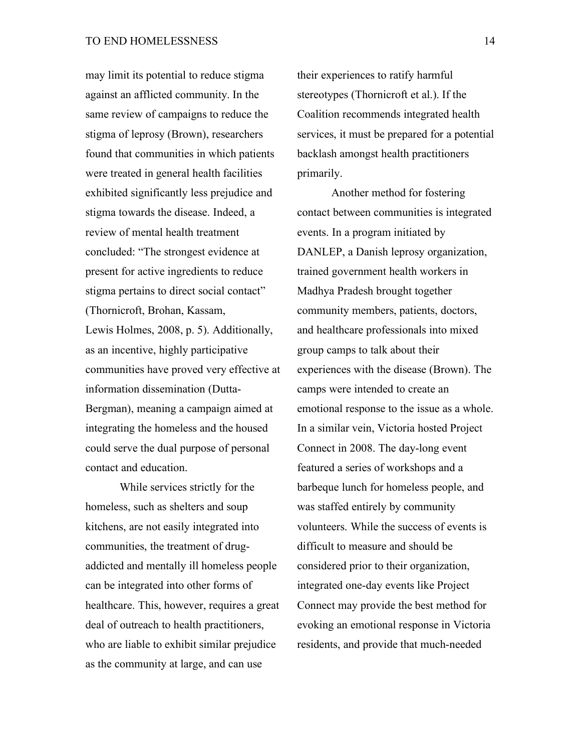may limit its potential to reduce stigma against an afflicted community. In the same review of campaigns to reduce the stigma of leprosy (Brown), researchers found that communities in which patients were treated in general health facilities exhibited significantly less prejudice and stigma towards the disease. Indeed, a review of mental health treatment concluded: "The strongest evidence at present for active ingredients to reduce stigma pertains to direct social contact" (Thornicroft, Brohan, Kassam, Lewis Holmes, 2008, p. 5). Additionally, as an incentive, highly participative communities have proved very effective at information dissemination (Dutta-Bergman), meaning a campaign aimed at integrating the homeless and the housed could serve the dual purpose of personal contact and education.

While services strictly for the homeless, such as shelters and soup kitchens, are not easily integrated into communities, the treatment of drugaddicted and mentally ill homeless people can be integrated into other forms of healthcare. This, however, requires a great deal of outreach to health practitioners, who are liable to exhibit similar prejudice as the community at large, and can use

their experiences to ratify harmful stereotypes (Thornicroft et al.). If the Coalition recommends integrated health services, it must be prepared for a potential backlash amongst health practitioners primarily.

Another method for fostering contact between communities is integrated events. In a program initiated by DANLEP, a Danish leprosy organization, trained government health workers in Madhya Pradesh brought together community members, patients, doctors, and healthcare professionals into mixed group camps to talk about their experiences with the disease (Brown). The camps were intended to create an emotional response to the issue as a whole. In a similar vein, Victoria hosted Project Connect in 2008. The day-long event featured a series of workshops and a barbeque lunch for homeless people, and was staffed entirely by community volunteers. While the success of events is difficult to measure and should be considered prior to their organization, integrated one-day events like Project Connect may provide the best method for evoking an emotional response in Victoria residents, and provide that much-needed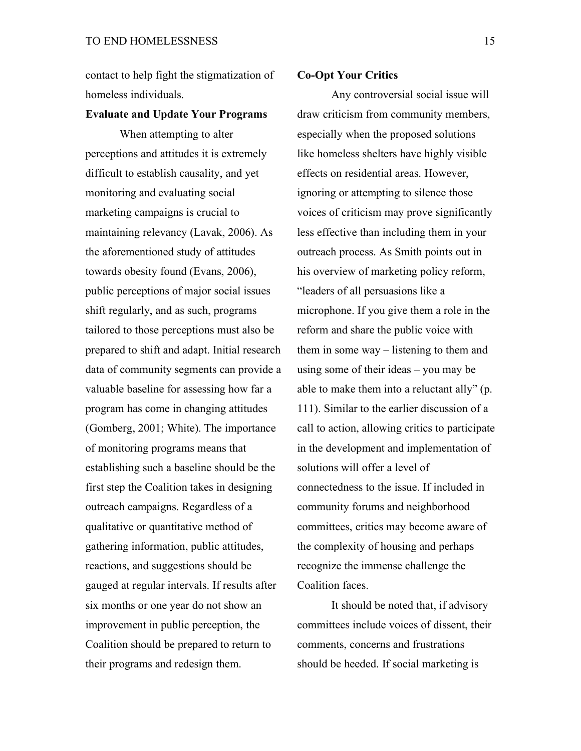contact to help fight the stigmatization of homeless individuals.

#### **Evaluate and Update Your Programs**

When attempting to alter perceptions and attitudes it is extremely difficult to establish causality, and yet monitoring and evaluating social marketing campaigns is crucial to maintaining relevancy (Lavak, 2006). As the aforementioned study of attitudes towards obesity found (Evans, 2006), public perceptions of major social issues shift regularly, and as such, programs tailored to those perceptions must also be prepared to shift and adapt. Initial research data of community segments can provide a valuable baseline for assessing how far a program has come in changing attitudes (Gomberg, 2001; White). The importance of monitoring programs means that establishing such a baseline should be the first step the Coalition takes in designing outreach campaigns. Regardless of a qualitative or quantitative method of gathering information, public attitudes, reactions, and suggestions should be gauged at regular intervals. If results after six months or one year do not show an improvement in public perception, the Coalition should be prepared to return to their programs and redesign them.

### **Co-Opt Your Critics**

Any controversial social issue will draw criticism from community members, especially when the proposed solutions like homeless shelters have highly visible effects on residential areas. However, ignoring or attempting to silence those voices of criticism may prove significantly less effective than including them in your outreach process. As Smith points out in his overview of marketing policy reform, "leaders of all persuasions like a microphone. If you give them a role in the reform and share the public voice with them in some way – listening to them and using some of their ideas – you may be able to make them into a reluctant ally" (p. 111). Similar to the earlier discussion of a call to action, allowing critics to participate in the development and implementation of solutions will offer a level of connectedness to the issue. If included in community forums and neighborhood committees, critics may become aware of the complexity of housing and perhaps recognize the immense challenge the Coalition faces.

It should be noted that, if advisory committees include voices of dissent, their comments, concerns and frustrations should be heeded. If social marketing is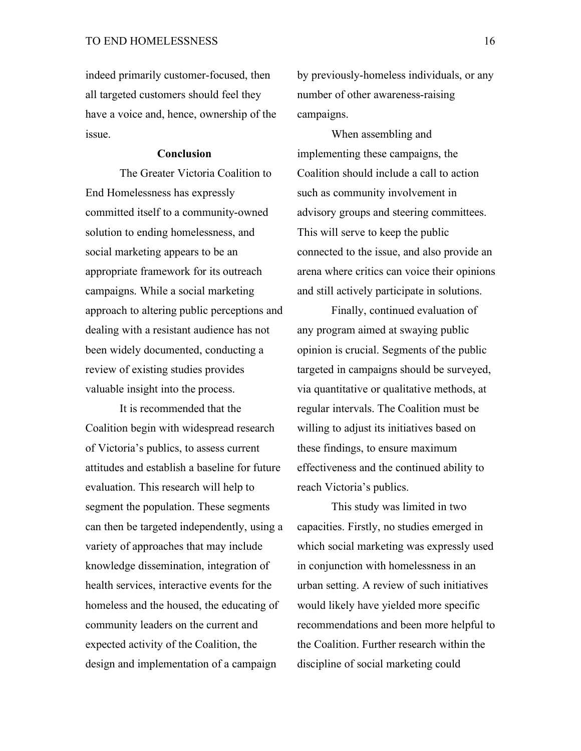indeed primarily customer-focused, then all targeted customers should feel they have a voice and, hence, ownership of the issue.

#### **Conclusion**

The Greater Victoria Coalition to End Homelessness has expressly committed itself to a community-owned solution to ending homelessness, and social marketing appears to be an appropriate framework for its outreach campaigns. While a social marketing approach to altering public perceptions and dealing with a resistant audience has not been widely documented, conducting a review of existing studies provides valuable insight into the process.

It is recommended that the Coalition begin with widespread research of Victoria's publics, to assess current attitudes and establish a baseline for future evaluation. This research will help to segment the population. These segments can then be targeted independently, using a variety of approaches that may include knowledge dissemination, integration of health services, interactive events for the homeless and the housed, the educating of community leaders on the current and expected activity of the Coalition, the design and implementation of a campaign

by previously-homeless individuals, or any number of other awareness-raising campaigns.

When assembling and implementing these campaigns, the Coalition should include a call to action such as community involvement in advisory groups and steering committees. This will serve to keep the public connected to the issue, and also provide an arena where critics can voice their opinions and still actively participate in solutions.

Finally, continued evaluation of any program aimed at swaying public opinion is crucial. Segments of the public targeted in campaigns should be surveyed, via quantitative or qualitative methods, at regular intervals. The Coalition must be willing to adjust its initiatives based on these findings, to ensure maximum effectiveness and the continued ability to reach Victoria's publics.

This study was limited in two capacities. Firstly, no studies emerged in which social marketing was expressly used in conjunction with homelessness in an urban setting. A review of such initiatives would likely have yielded more specific recommendations and been more helpful to the Coalition. Further research within the discipline of social marketing could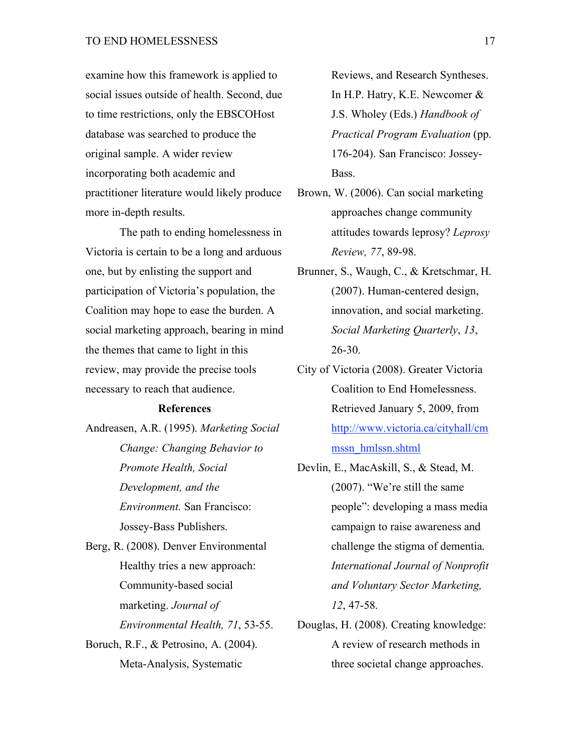examine how this framework is applied to social issues outside of health. Second, due to time restrictions, only the EBSCOHost database was searched to produce the original sample. A wider review incorporating both academic and practitioner literature would likely produce more in-depth results.

The path to ending homelessness in Victoria is certain to be a long and arduous one, but by enlisting the support and participation of Victoria's population, the Coalition may hope to ease the burden. A social marketing approach, bearing in mind the themes that came to light in this review, may provide the precise tools necessary to reach that audience.

### **References**

Andreasen, A.R. (1995). *Marketing Social Change: Changing Behavior to Promote Health, Social Development, and the Environment.* San Francisco: Jossey-Bass Publishers. Berg, R. (2008). Denver Environmental

Healthy tries a new approach: Community-based social marketing. *Journal of Environmental Health, 71*, 53-55. Boruch, R.F., & Petrosino, A. (2004). Meta-Analysis, Systematic

Reviews, and Research Syntheses. In H.P. Hatry, K.E. Newcomer & J.S. Wholey (Eds.) *Handbook of Practical Program Evaluation* (pp. 176-204). San Francisco: Jossey-Bass.

- Brown, W. (2006). Can social marketing approaches change community attitudes towards leprosy? *Leprosy Review, 77*, 89-98.
- Brunner, S., Waugh, C., & Kretschmar, H. (2007). Human-centered design, innovation, and social marketing. *Social Marketing Quarterly*, *13*, 26-30.
- City of Victoria (2008). Greater Victoria Coalition to End Homelessness. Retrieved January 5, 2009, from http://www.victoria.ca/cityhall/cm mssn\_hmlssn.shtml
- Devlin, E., MacAskill, S., & Stead, M. (2007). "We're still the same people": developing a mass media campaign to raise awareness and challenge the stigma of dementia. *International Journal of Nonprofit and Voluntary Sector Marketing, 12*, 47-58.
- Douglas, H. (2008). Creating knowledge: A review of research methods in three societal change approaches.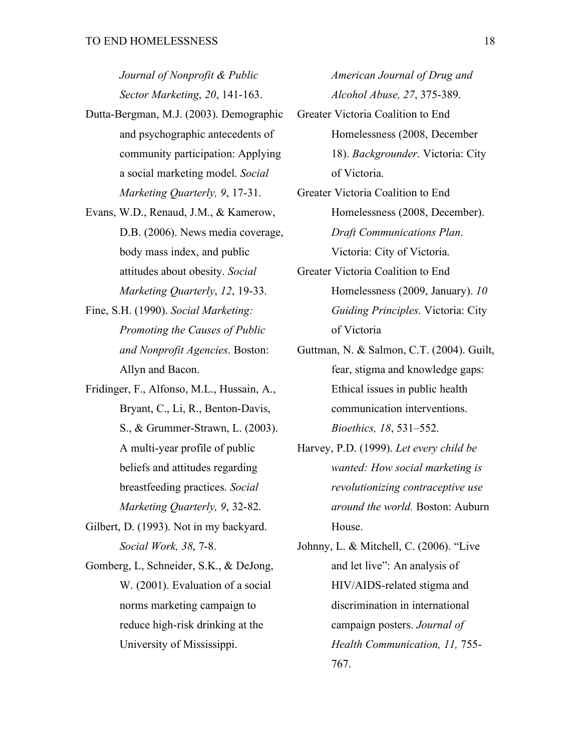*Journal of Nonprofit & Public Sector Marketing*, *20*, 141-163.

- Dutta-Bergman, M.J. (2003). Demographic and psychographic antecedents of community participation: Applying a social marketing model. *Social Marketing Quarterly, 9*, 17-31.
- Evans, W.D., Renaud, J.M., & Kamerow, D.B. (2006). News media coverage, body mass index, and public attitudes about obesity. *Social Marketing Quarterly*, *12*, 19-33.
- Fine, S.H. (1990). *Social Marketing: Promoting the Causes of Public and Nonprofit Agencies*. Boston: Allyn and Bacon.
- Fridinger, F., Alfonso, M.L., Hussain, A., Bryant, C., Li, R., Benton-Davis, S., & Grummer-Strawn, L. (2003). A multi-year profile of public beliefs and attitudes regarding breastfeeding practices. *Social Marketing Quarterly, 9*, 32-82.
- Gilbert, D. (1993). Not in my backyard. *Social Work, 38*, 7-8.
- Gomberg, L, Schneider, S.K., & DeJong, W. (2001). Evaluation of a social norms marketing campaign to reduce high-risk drinking at the University of Mississippi.

*American Journal of Drug and Alcohol Abuse, 27*, 375-389.

- Greater Victoria Coalition to End Homelessness (2008, December 18). *Backgrounder*. Victoria: City of Victoria.
- Greater Victoria Coalition to End Homelessness (2008, December). *Draft Communications Plan*. Victoria: City of Victoria.
- Greater Victoria Coalition to End Homelessness (2009, January). *10 Guiding Principles*. Victoria: City of Victoria
- Guttman, N. & Salmon, C.T. (2004). Guilt, fear, stigma and knowledge gaps: Ethical issues in public health communication interventions. *Bioethics, 18*, 531–552.
- Harvey, P.D. (1999). *Let every child be wanted: How social marketing is revolutionizing contraceptive use around the world.* Boston: Auburn House.
- Johnny, L. & Mitchell, C. (2006). "Live and let live": An analysis of HIV/AIDS-related stigma and discrimination in international campaign posters. *Journal of Health Communication, 11,* 755- 767.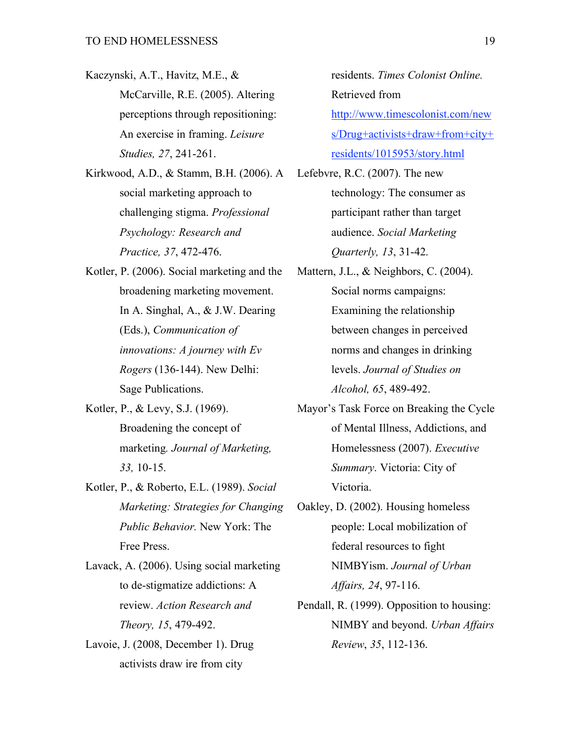Kaczynski, A.T., Havitz, M.E., & McCarville, R.E. (2005). Altering perceptions through repositioning: An exercise in framing. *Leisure Studies, 27*, 241-261.

Kirkwood, A.D., & Stamm, B.H. (2006). A social marketing approach to challenging stigma. *Professional Psychology: Research and Practice, 37*, 472-476.

Kotler, P. (2006). Social marketing and the broadening marketing movement. In A. Singhal, A., & J.W. Dearing (Eds.), *Communication of innovations: A journey with Ev Rogers* (136-144). New Delhi: Sage Publications.

- Kotler, P., & Levy, S.J. (1969). Broadening the concept of marketing*. Journal of Marketing, 33,* 10-15.
- Kotler, P., & Roberto, E.L. (1989). *Social Marketing: Strategies for Changing Public Behavior.* New York: The Free Press.

Lavack, A. (2006). Using social marketing to de-stigmatize addictions: A review. *Action Research and Theory, 15*, 479-492.

Lavoie, J. (2008, December 1). Drug activists draw ire from city

residents. *Times Colonist Online.*  Retrieved from http://www.timescolonist.com/new s/Drug+activists+draw+from+city+ residents/1015953/story.html

Lefebvre, R.C. (2007). The new technology: The consumer as participant rather than target audience. *Social Marketing Quarterly, 13*, 31-42.

- Mattern, J.L., & Neighbors, C. (2004). Social norms campaigns: Examining the relationship between changes in perceived norms and changes in drinking levels. *Journal of Studies on Alcohol, 65*, 489-492.
- Mayor's Task Force on Breaking the Cycle of Mental Illness, Addictions, and Homelessness (2007). *Executive Summary*. Victoria: City of Victoria.

Oakley, D. (2002). Housing homeless people: Local mobilization of federal resources to fight NIMBYism. *Journal of Urban Affairs, 24*, 97-116.

Pendall, R. (1999). Opposition to housing: NIMBY and beyond. *Urban Affairs Review*, *35*, 112-136.